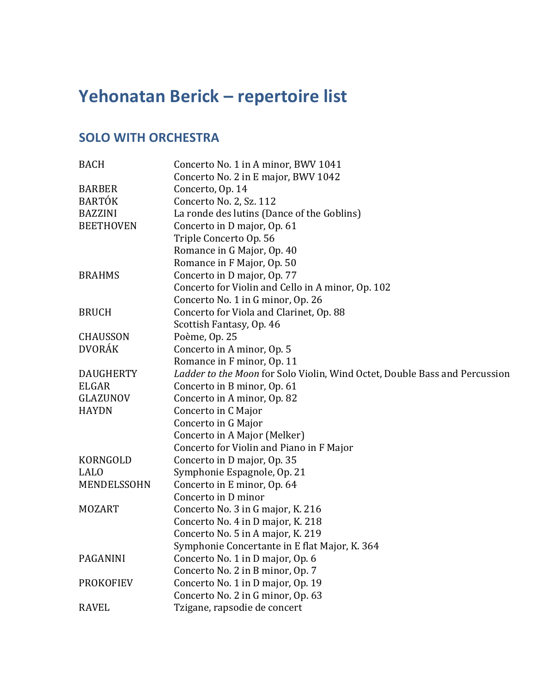## Yehonatan Berick – repertoire list

## **SOLO WITH ORCHESTRA**

| <b>BACH</b>      | Concerto No. 1 in A minor, BWV 1041                                        |
|------------------|----------------------------------------------------------------------------|
|                  | Concerto No. 2 in E major, BWV 1042                                        |
| <b>BARBER</b>    | Concerto, Op. 14                                                           |
| <b>BARTÓK</b>    | Concerto No. 2, Sz. 112                                                    |
| <b>BAZZINI</b>   | La ronde des lutins (Dance of the Goblins)                                 |
| <b>BEETHOVEN</b> | Concerto in D major, Op. 61                                                |
|                  | Triple Concerto Op. 56                                                     |
|                  | Romance in G Major, Op. 40                                                 |
|                  | Romance in F Major, Op. 50                                                 |
| <b>BRAHMS</b>    | Concerto in D major, Op. 77                                                |
|                  | Concerto for Violin and Cello in A minor, Op. 102                          |
|                  | Concerto No. 1 in G minor, Op. 26                                          |
| <b>BRUCH</b>     | Concerto for Viola and Clarinet, Op. 88                                    |
|                  | Scottish Fantasy, Op. 46                                                   |
| <b>CHAUSSON</b>  | Poème, Op. 25                                                              |
| <b>DVORÁK</b>    | Concerto in A minor, Op. 5                                                 |
|                  | Romance in F minor, Op. 11                                                 |
| <b>DAUGHERTY</b> | Ladder to the Moon for Solo Violin, Wind Octet, Double Bass and Percussion |
| <b>ELGAR</b>     | Concerto in B minor, Op. 61                                                |
| GLAZUNOV         | Concerto in A minor, Op. 82                                                |
| <b>HAYDN</b>     | Concerto in C Major                                                        |
|                  | Concerto in G Major                                                        |
|                  | Concerto in A Major (Melker)                                               |
|                  | Concerto for Violin and Piano in F Major                                   |
| KORNGOLD         | Concerto in D major, Op. 35                                                |
| <b>LALO</b>      | Symphonie Espagnole, Op. 21                                                |
| MENDELSSOHN      | Concerto in E minor, Op. 64                                                |
|                  | Concerto in D minor                                                        |
| <b>MOZART</b>    | Concerto No. 3 in G major, K. 216                                          |
|                  | Concerto No. 4 in D major, K. 218                                          |
|                  | Concerto No. 5 in A major, K. 219                                          |
|                  | Symphonie Concertante in E flat Major, K. 364                              |
| <b>PAGANINI</b>  | Concerto No. 1 in D major, Op. 6                                           |
|                  | Concerto No. 2 in B minor, Op. 7                                           |
| <b>PROKOFIEV</b> | Concerto No. 1 in D major, Op. 19                                          |
|                  | Concerto No. 2 in G minor, Op. 63                                          |
| <b>RAVEL</b>     | Tzigane, rapsodie de concert                                               |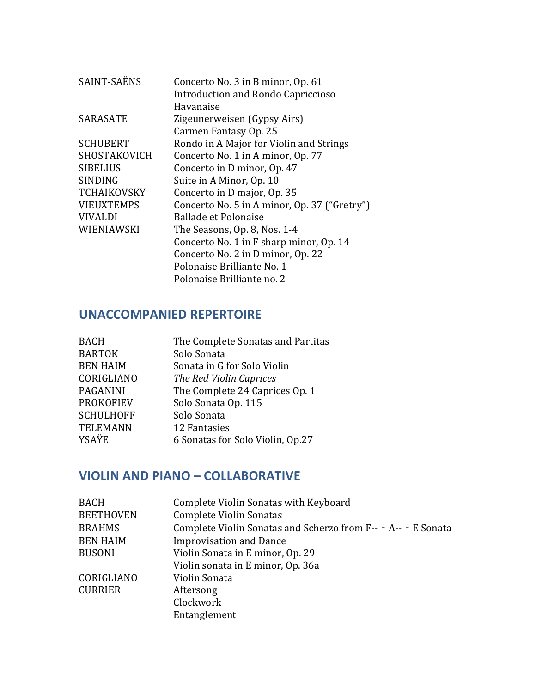| SAINT-SAËNS        | Concerto No. 3 in B minor, Op. 61            |
|--------------------|----------------------------------------------|
|                    | Introduction and Rondo Capriccioso           |
|                    | Havanaise                                    |
| <b>SARASATE</b>    | Zigeunerweisen (Gypsy Airs)                  |
|                    | Carmen Fantasy Op. 25                        |
| <b>SCHUBERT</b>    | Rondo in A Major for Violin and Strings      |
| SHOSTAKOVICH       | Concerto No. 1 in A minor, Op. 77            |
| <b>SIBELIUS</b>    | Concerto in D minor, Op. 47                  |
| <b>SINDING</b>     | Suite in A Minor, Op. 10                     |
| <b>TCHAIKOVSKY</b> | Concerto in D major, Op. 35                  |
| <b>VIEUXTEMPS</b>  | Concerto No. 5 in A minor, Op. 37 ("Gretry") |
| <b>VIVALDI</b>     | Ballade et Polonaise                         |
| WIENIAWSKI         | The Seasons, Op. 8, Nos. 1-4                 |
|                    | Concerto No. 1 in F sharp minor, Op. 14      |
|                    | Concerto No. 2 in D minor, Op. 22            |
|                    | Polonaise Brilliante No. 1                   |
|                    | Polonaise Brilliante no. 2                   |

## **UNACCOMPANIED REPERTOIRE**

| <b>BACH</b>      | The Complete Sonatas and Partitas |
|------------------|-----------------------------------|
| <b>BARTOK</b>    | Solo Sonata                       |
| <b>BEN HAIM</b>  | Sonata in G for Solo Violin       |
| CORIGLIANO       | The Red Violin Caprices           |
| <b>PAGANINI</b>  | The Complete 24 Caprices Op. 1    |
| <b>PROKOFIEV</b> | Solo Sonata Op. 115               |
| <b>SCHULHOFF</b> | Solo Sonata                       |
| <b>TELEMANN</b>  | 12 Fantasies                      |
| YSAŸE            | 6 Sonatas for Solo Violin, Op.27  |
|                  |                                   |

## **VIOLIN AND PIANO – COLLABORATIVE**

| <b>BACH</b>      | Complete Violin Sonatas with Keyboard                         |
|------------------|---------------------------------------------------------------|
| <b>BEETHOVEN</b> | <b>Complete Violin Sonatas</b>                                |
| <b>BRAHMS</b>    | Complete Violin Sonatas and Scherzo from F-- - A-- - E Sonata |
| <b>BEN HAIM</b>  | <b>Improvisation and Dance</b>                                |
| <b>BUSONI</b>    | Violin Sonata in E minor, Op. 29                              |
|                  | Violin sonata in E minor, Op. 36a                             |
| CORIGLIANO       | Violin Sonata                                                 |
| <b>CURRIER</b>   | Aftersong                                                     |
|                  | Clockwork                                                     |
|                  | Entanglement                                                  |